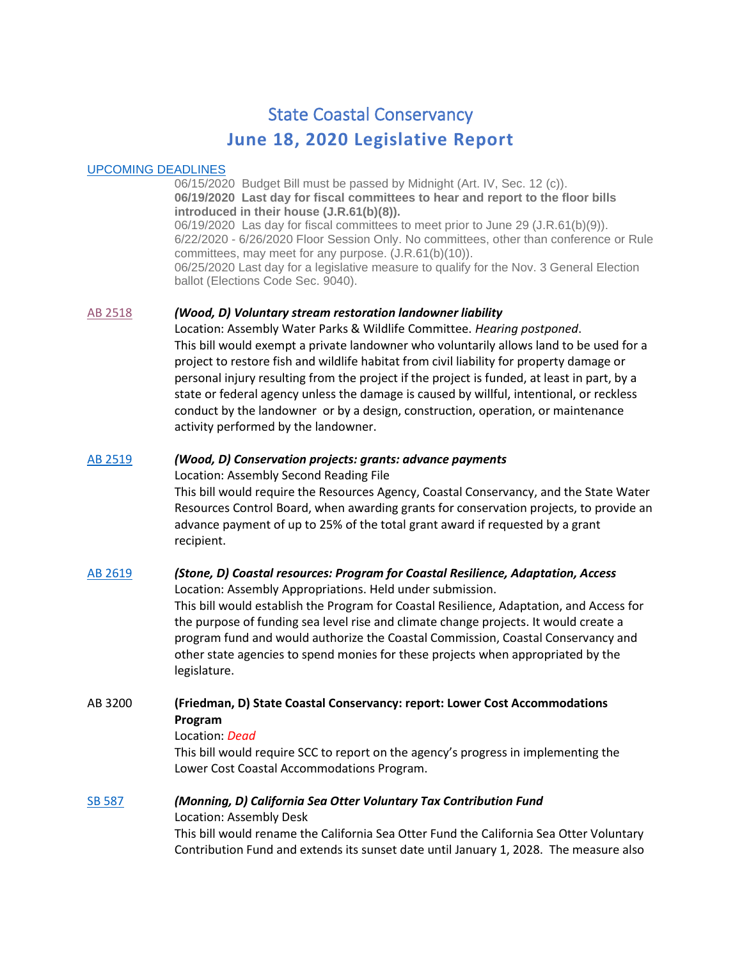# State Coastal Conservancy **June 18, 2020 Legislative Report**

### [UPCOMING DEADLINES](http://ct3k1.capitoltrack.com/public/TodaysEvents.aspx?s=//sessionschedule&calid=300)

06/15/2020 Budget Bill must be passed by Midnight (Art. IV, Sec. 12 (c)). **06/19/2020 Last day for fiscal committees to hear and report to the floor bills introduced in their house (J.R.61(b)(8)).** 06/19/2020 Las day for fiscal committees to meet prior to June 29 (J.R.61(b)(9)). 6/22/2020 - 6/26/2020 Floor Session Only. No committees, other than conference or Rule committees, may meet for any purpose. (J.R.61(b)(10)). 06/25/2020 Last day for a legislative measure to qualify for the Nov. 3 General Election ballot (Elections Code Sec. 9040).

#### [AB 2518](http://leginfo.legislature.ca.gov/faces/billNavClient.xhtml?bill_id=201920200AB2518) *(Wood, D) Voluntary stream restoration landowner liability*

Location: Assembly Water Parks & Wildlife Committee. *Hearing postponed*. This bill would exempt a private landowner who voluntarily allows land to be used for a project to restore fish and wildlife habitat from civil liability for property damage or personal injury resulting from the project if the project is funded, at least in part, by a state or federal agency unless the damage is caused by willful, intentional, or reckless conduct by the landowner or by a design, construction, operation, or maintenance activity performed by the landowner.

# [AB 2519](http://leginfo.legislature.ca.gov/faces/billNavClient.xhtml?bill_id=201920200AB2519) *(Wood, D) Conservation projects: grants: advance payments*

Location: Assembly Second Reading File

This bill would require the Resources Agency, Coastal Conservancy, and the State Water Resources Control Board, when awarding grants for conservation projects, to provide an advance payment of up to 25% of the total grant award if requested by a grant recipient.

#### [AB 2619](http://leginfo.legislature.ca.gov/faces/billNavClient.xhtml?bill_id=201920200AB2619) *(Stone, D) Coastal resources: Program for Coastal Resilience, Adaptation, Access* Location: Assembly Appropriations. Held under submission.

This bill would establish the Program for Coastal Resilience, Adaptation, and Access for the purpose of funding sea level rise and climate change projects. It would create a program fund and would authorize the Coastal Commission, Coastal Conservancy and other state agencies to spend monies for these projects when appropriated by the legislature.

# AB 3200 **(Friedman, D) State Coastal Conservancy: report: Lower Cost Accommodations Program**

#### Location: *Dead*

This bill would require SCC to report on the agency's progress in implementing the Lower Cost Coastal Accommodations Program.

## [SB 587](http://leginfo.legislature.ca.gov/faces/billNavClient.xhtml?bill_id=201920200SB587) *(Monning, D) California Sea Otter Voluntary Tax Contribution Fund* Location: Assembly Desk

This bill would rename the California Sea Otter Fund the California Sea Otter Voluntary Contribution Fund and extends its sunset date until January 1, 2028. The measure also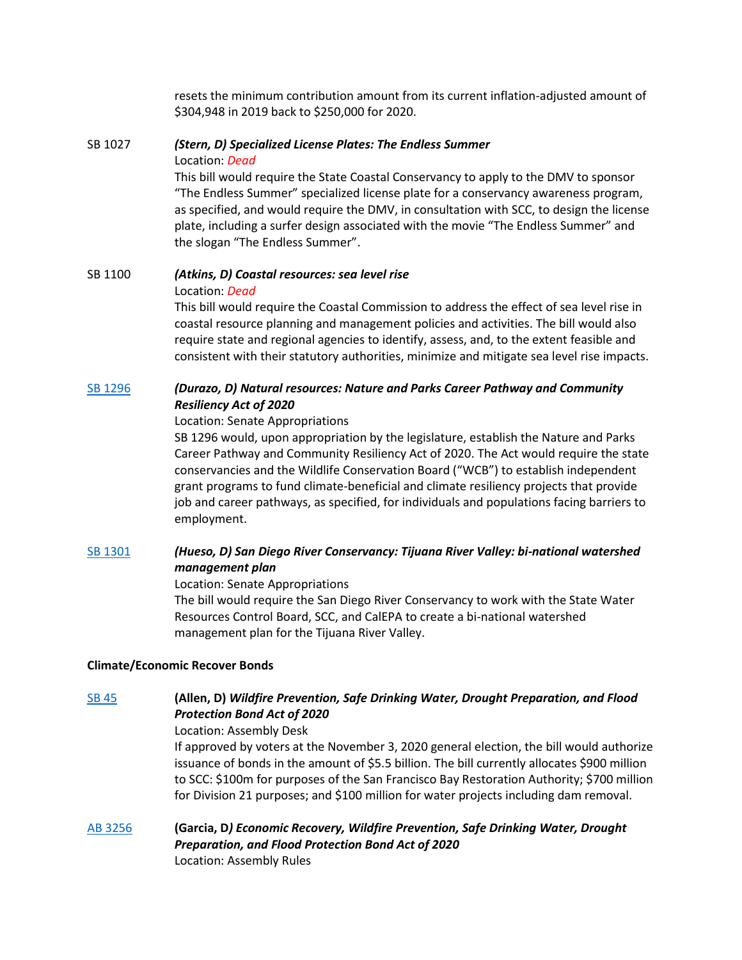resets the minimum contribution amount from its current inflation-adjusted amount of \$304,948 in 2019 back to \$250,000 for 2020.

# SB 1027 *(Stern, D) Specialized License Plates: The Endless Summer* Location: *Dead* This bill would require the State Coastal Conservancy to apply to the DMV to sponsor

"The Endless Summer" specialized license plate for a conservancy awareness program, as specified, and would require the DMV, in consultation with SCC, to design the license plate, including a surfer design associated with the movie "The Endless Summer" and the slogan "The Endless Summer".

# SB 1100 *(Atkins, D) Coastal resources: sea level rise*

#### Location: *Dead*

This bill would require the Coastal Commission to address the effect of sea level rise in coastal resource planning and management policies and activities. The bill would also require state and regional agencies to identify, assess, and, to the extent feasible and consistent with their statutory authorities, minimize and mitigate sea level rise impacts.

# [SB 1296](http://leginfo.legislature.ca.gov/faces/billNavClient.xhtml?bill_id=201920200SB1296) *(Durazo, D) Natural resources: Nature and Parks Career Pathway and Community Resiliency Act of 2020*

#### Location: Senate Appropriations

SB 1296 would, upon appropriation by the legislature, establish the Nature and Parks Career Pathway and Community Resiliency Act of 2020. The Act would require the state conservancies and the Wildlife Conservation Board ("WCB") to establish independent grant programs to fund climate-beneficial and climate resiliency projects that provide job and career pathways, as specified, for individuals and populations facing barriers to employment.

# [SB 1301](http://leginfo.legislature.ca.gov/faces/billNavClient.xhtml?bill_id=201920200SB1301) *(Hueso, D) San Diego River Conservancy: Tijuana River Valley: bi-national watershed management plan*

## Location: Senate Appropriations

The bill would require the San Diego River Conservancy to work with the State Water Resources Control Board, SCC, and CalEPA to create a bi-national watershed management plan for the Tijuana River Valley.

## **Climate/Economic Recover Bonds**

# [SB 45](http://leginfo.legislature.ca.gov/faces/billNavClient.xhtml?bill_id=201920200SB45) **(Allen, D)** *Wildfire Prevention, Safe Drinking Water, Drought Preparation, and Flood Protection Bond Act of 2020*

Location: Assembly Desk

If approved by voters at the November 3, 2020 general election, the bill would authorize issuance of bonds in the amount of \$5.5 billion. The bill currently allocates \$900 million to SCC: \$100m for purposes of the San Francisco Bay Restoration Authority; \$700 million for Division 21 purposes; and \$100 million for water projects including dam removal.

[AB 3256](http://leginfo.legislature.ca.gov/faces/billNavClient.xhtml?bill_id=201920200AB3256) **(Garcia, D***) Economic Recovery, Wildfire Prevention, Safe Drinking Water, Drought Preparation, and Flood Protection Bond Act of 2020* Location: Assembly Rules